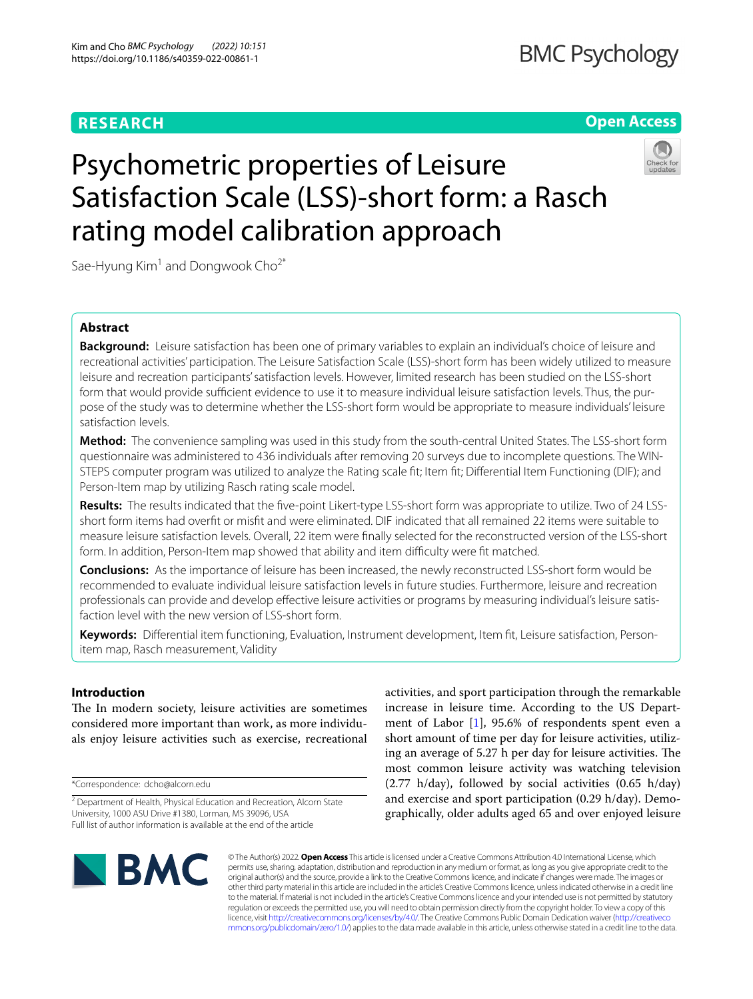# **RESEARCH**

# **Open Access**



# Psychometric properties of Leisure Satisfaction Scale (LSS)-short form: a Rasch rating model calibration approach

Sae-Hyung  $Kim<sup>1</sup>$  and Dongwook Cho<sup>2\*</sup>

## **Abstract**

**Background:** Leisure satisfaction has been one of primary variables to explain an individual's choice of leisure and recreational activities' participation. The Leisure Satisfaction Scale (LSS)-short form has been widely utilized to measure leisure and recreation participants' satisfaction levels. However, limited research has been studied on the LSS-short form that would provide sufficient evidence to use it to measure individual leisure satisfaction levels. Thus, the purpose of the study was to determine whether the LSS-short form would be appropriate to measure individuals' leisure satisfaction levels.

**Method:** The convenience sampling was used in this study from the south-central United States. The LSS-short form questionnaire was administered to 436 individuals after removing 20 surveys due to incomplete questions. The WIN‑ STEPS computer program was utilized to analyze the Rating scale ft; Item ft; Diferential Item Functioning (DIF); and Person-Item map by utilizing Rasch rating scale model.

**Results:** The results indicated that the fve-point Likert-type LSS-short form was appropriate to utilize. Two of 24 LSSshort form items had overft or misft and were eliminated. DIF indicated that all remained 22 items were suitable to measure leisure satisfaction levels. Overall, 22 item were fnally selected for the reconstructed version of the LSS-short form. In addition, Person-Item map showed that ability and item difficulty were fit matched.

**Conclusions:** As the importance of leisure has been increased, the newly reconstructed LSS-short form would be recommended to evaluate individual leisure satisfaction levels in future studies. Furthermore, leisure and recreation professionals can provide and develop effective leisure activities or programs by measuring individual's leisure satisfaction level with the new version of LSS-short form.

**Keywords:** Diferential item functioning, Evaluation, Instrument development, Item ft, Leisure satisfaction, Personitem map, Rasch measurement, Validity

## **Introduction**

The In modern society, leisure activities are sometimes considered more important than work, as more individuals enjoy leisure activities such as exercise, recreational

\*Correspondence: dcho@alcorn.edu

activities, and sport participation through the remarkable increase in leisure time. According to the US Department of Labor [\[1](#page-7-0)], 95.6% of respondents spent even a short amount of time per day for leisure activities, utilizing an average of 5.27 h per day for leisure activities. The most common leisure activity was watching television (2.77 h/day), followed by social activities (0.65 h/day) and exercise and sport participation (0.29 h/day). Demographically, older adults aged 65 and over enjoyed leisure



© The Author(s) 2022. **Open Access** This article is licensed under a Creative Commons Attribution 4.0 International License, which permits use, sharing, adaptation, distribution and reproduction in any medium or format, as long as you give appropriate credit to the original author(s) and the source, provide a link to the Creative Commons licence, and indicate if changes were made. The images or other third party material in this article are included in the article's Creative Commons licence, unless indicated otherwise in a credit line to the material. If material is not included in the article's Creative Commons licence and your intended use is not permitted by statutory regulation or exceeds the permitted use, you will need to obtain permission directly from the copyright holder. To view a copy of this licence, visit [http://creativecommons.org/licenses/by/4.0/.](http://creativecommons.org/licenses/by/4.0/) The Creative Commons Public Domain Dedication waiver ([http://creativeco](http://creativecommons.org/publicdomain/zero/1.0/) [mmons.org/publicdomain/zero/1.0/](http://creativecommons.org/publicdomain/zero/1.0/)) applies to the data made available in this article, unless otherwise stated in a credit line to the data.

<sup>&</sup>lt;sup>2</sup> Department of Health, Physical Education and Recreation, Alcorn State University, 1000 ASU Drive #1380, Lorman, MS 39096, USA Full list of author information is available at the end of the article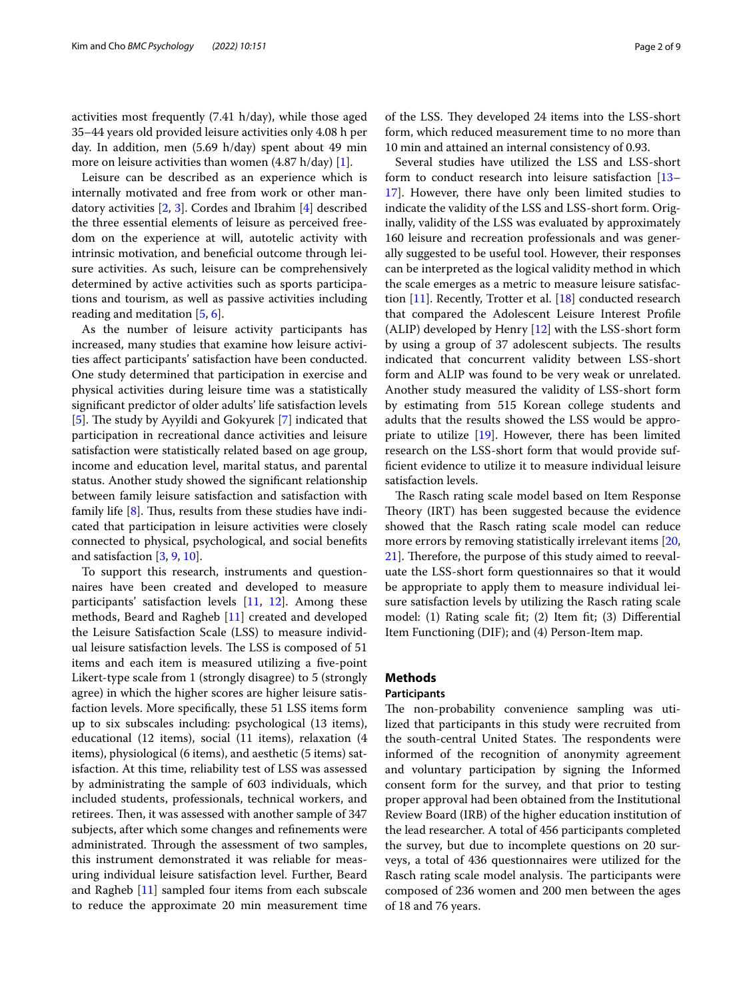activities most frequently (7.41 h/day), while those aged 35–44 years old provided leisure activities only 4.08 h per day. In addition, men (5.69 h/day) spent about 49 min more on leisure activities than women (4.87 h/day) [[1\]](#page-7-0).

Leisure can be described as an experience which is internally motivated and free from work or other mandatory activities [\[2](#page-7-1), [3](#page-7-2)]. Cordes and Ibrahim [[4\]](#page-7-3) described the three essential elements of leisure as perceived freedom on the experience at will, autotelic activity with intrinsic motivation, and beneficial outcome through leisure activities. As such, leisure can be comprehensively determined by active activities such as sports participations and tourism, as well as passive activities including reading and meditation [[5,](#page-7-4) [6](#page-7-5)].

As the number of leisure activity participants has increased, many studies that examine how leisure activities afect participants' satisfaction have been conducted. One study determined that participation in exercise and physical activities during leisure time was a statistically signifcant predictor of older adults' life satisfaction levels [[5\]](#page-7-4). The study by Ayyildi and Gokyurek [\[7](#page-7-6)] indicated that participation in recreational dance activities and leisure satisfaction were statistically related based on age group, income and education level, marital status, and parental status. Another study showed the signifcant relationship between family leisure satisfaction and satisfaction with family life  $[8]$  $[8]$ . Thus, results from these studies have indicated that participation in leisure activities were closely connected to physical, psychological, and social benefts and satisfaction [\[3,](#page-7-2) [9](#page-7-8), [10\]](#page-7-9).

To support this research, instruments and questionnaires have been created and developed to measure participants' satisfaction levels [[11](#page-7-10), [12\]](#page-8-0). Among these methods, Beard and Ragheb [[11](#page-7-10)] created and developed the Leisure Satisfaction Scale (LSS) to measure individual leisure satisfaction levels. The LSS is composed of 51 items and each item is measured utilizing a fve-point Likert-type scale from 1 (strongly disagree) to 5 (strongly agree) in which the higher scores are higher leisure satisfaction levels. More specifcally, these 51 LSS items form up to six subscales including: psychological (13 items), educational (12 items), social (11 items), relaxation (4 items), physiological (6 items), and aesthetic (5 items) satisfaction. At this time, reliability test of LSS was assessed by administrating the sample of 603 individuals, which included students, professionals, technical workers, and retirees. Then, it was assessed with another sample of 347 subjects, after which some changes and refnements were administrated. Through the assessment of two samples, this instrument demonstrated it was reliable for measuring individual leisure satisfaction level. Further, Beard and Ragheb [[11\]](#page-7-10) sampled four items from each subscale to reduce the approximate 20 min measurement time of the LSS. They developed 24 items into the LSS-short form, which reduced measurement time to no more than 10 min and attained an internal consistency of 0.93.

Several studies have utilized the LSS and LSS-short form to conduct research into leisure satisfaction [[13–](#page-8-1) [17\]](#page-8-2). However, there have only been limited studies to indicate the validity of the LSS and LSS-short form. Originally, validity of the LSS was evaluated by approximately 160 leisure and recreation professionals and was generally suggested to be useful tool. However, their responses can be interpreted as the logical validity method in which the scale emerges as a metric to measure leisure satisfaction [\[11\]](#page-7-10). Recently, Trotter et al. [\[18](#page-8-3)] conducted research that compared the Adolescent Leisure Interest Profle (ALIP) developed by Henry [\[12\]](#page-8-0) with the LSS-short form by using a group of 37 adolescent subjects. The results indicated that concurrent validity between LSS-short form and ALIP was found to be very weak or unrelated. Another study measured the validity of LSS-short form by estimating from 515 Korean college students and adults that the results showed the LSS would be appropriate to utilize [[19\]](#page-8-4). However, there has been limited research on the LSS-short form that would provide suffcient evidence to utilize it to measure individual leisure satisfaction levels.

The Rasch rating scale model based on Item Response Theory (IRT) has been suggested because the evidence showed that the Rasch rating scale model can reduce more errors by removing statistically irrelevant items [[20](#page-8-5), [21\]](#page-8-6). Therefore, the purpose of this study aimed to reevaluate the LSS-short form questionnaires so that it would be appropriate to apply them to measure individual leisure satisfaction levels by utilizing the Rasch rating scale model: (1) Rating scale ft; (2) Item ft; (3) Diferential Item Functioning (DIF); and (4) Person-Item map.

#### **Methods**

#### **Participants**

The non-probability convenience sampling was utilized that participants in this study were recruited from the south-central United States. The respondents were informed of the recognition of anonymity agreement and voluntary participation by signing the Informed consent form for the survey, and that prior to testing proper approval had been obtained from the Institutional Review Board (IRB) of the higher education institution of the lead researcher. A total of 456 participants completed the survey, but due to incomplete questions on 20 surveys, a total of 436 questionnaires were utilized for the Rasch rating scale model analysis. The participants were composed of 236 women and 200 men between the ages of 18 and 76 years.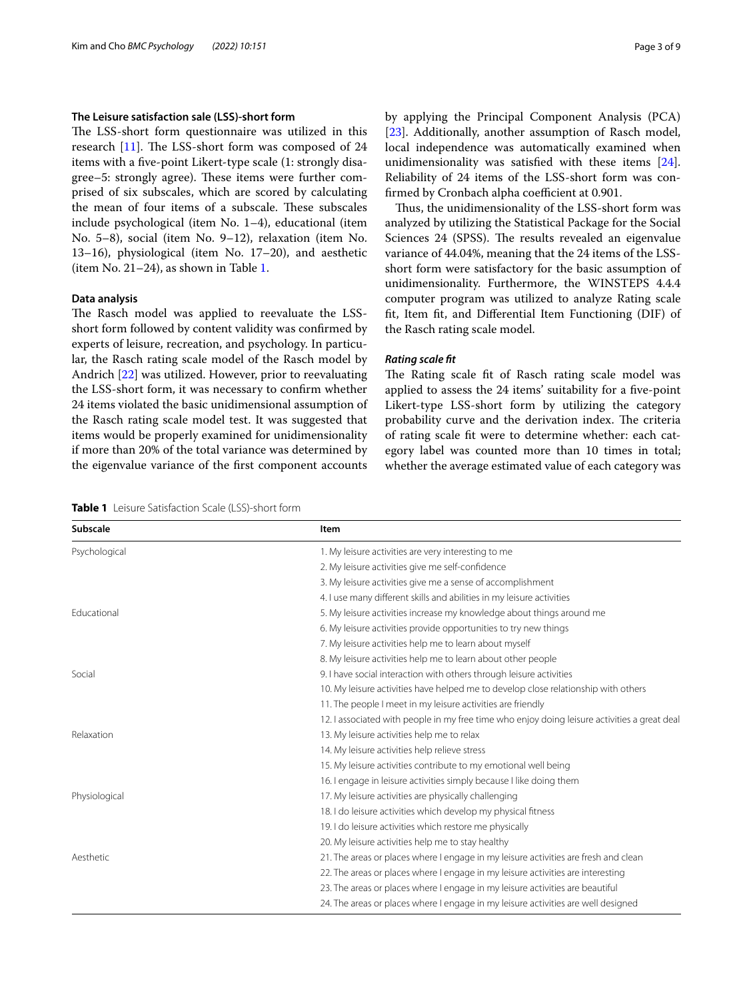## **The Leisure satisfaction sale (LSS)‑short form**

The LSS-short form questionnaire was utilized in this research  $[11]$ . The LSS-short form was composed of 24 items with a fve-point Likert-type scale (1: strongly disagree–5: strongly agree). These items were further comprised of six subscales, which are scored by calculating the mean of four items of a subscale. These subscales include psychological (item No. 1–4), educational (item No. 5–8), social (item No. 9–12), relaxation (item No. 13–16), physiological (item No. 17–20), and aesthetic (item No. 21–24), as shown in Table [1.](#page-2-0)

## **Data analysis**

The Rasch model was applied to reevaluate the LSSshort form followed by content validity was confrmed by experts of leisure, recreation, and psychology. In particular, the Rasch rating scale model of the Rasch model by Andrich [\[22](#page-8-7)] was utilized. However, prior to reevaluating the LSS-short form, it was necessary to confrm whether 24 items violated the basic unidimensional assumption of the Rasch rating scale model test. It was suggested that items would be properly examined for unidimensionality if more than 20% of the total variance was determined by the eigenvalue variance of the frst component accounts by applying the Principal Component Analysis (PCA) [[23\]](#page-8-8). Additionally, another assumption of Rasch model, local independence was automatically examined when unidimensionality was satisfed with these items [\[24](#page-8-9)]. Reliability of 24 items of the LSS-short form was confirmed by Cronbach alpha coefficient at 0.901.

Thus, the unidimensionality of the LSS-short form was analyzed by utilizing the Statistical Package for the Social Sciences 24 (SPSS). The results revealed an eigenvalue variance of 44.04%, meaning that the 24 items of the LSSshort form were satisfactory for the basic assumption of unidimensionality. Furthermore, the WINSTEPS 4.4.4 computer program was utilized to analyze Rating scale ft, Item ft, and Diferential Item Functioning (DIF) of the Rasch rating scale model.

## *Rating scale ft*

The Rating scale fit of Rasch rating scale model was applied to assess the 24 items' suitability for a fve-point Likert-type LSS-short form by utilizing the category probability curve and the derivation index. The criteria of rating scale ft were to determine whether: each category label was counted more than 10 times in total; whether the average estimated value of each category was

<span id="page-2-0"></span>

| <b>Subscale</b> | Item                                                                                        |  |  |  |
|-----------------|---------------------------------------------------------------------------------------------|--|--|--|
| Psychological   | 1. My leisure activities are very interesting to me                                         |  |  |  |
|                 | 2. My leisure activities give me self-confidence                                            |  |  |  |
|                 | 3. My leisure activities give me a sense of accomplishment                                  |  |  |  |
|                 | 4. I use many different skills and abilities in my leisure activities                       |  |  |  |
| Educational     | 5. My leisure activities increase my knowledge about things around me                       |  |  |  |
|                 | 6. My leisure activities provide opportunities to try new things                            |  |  |  |
|                 | 7. My leisure activities help me to learn about myself                                      |  |  |  |
|                 | 8. My leisure activities help me to learn about other people                                |  |  |  |
| Social          | 9. I have social interaction with others through leisure activities                         |  |  |  |
|                 | 10. My leisure activities have helped me to develop close relationship with others          |  |  |  |
|                 | 11. The people I meet in my leisure activities are friendly                                 |  |  |  |
|                 | 12. Lassociated with people in my free time who enjoy doing leisure activities a great deal |  |  |  |
| Relaxation      | 13. My leisure activities help me to relax                                                  |  |  |  |
|                 | 14. My leisure activities help relieve stress                                               |  |  |  |
|                 | 15. My leisure activities contribute to my emotional well being                             |  |  |  |
|                 | 16. I engage in leisure activities simply because I like doing them                         |  |  |  |
| Physiological   | 17. My leisure activities are physically challenging                                        |  |  |  |
|                 | 18. I do leisure activities which develop my physical fitness                               |  |  |  |
|                 | 19. I do leisure activities which restore me physically                                     |  |  |  |
|                 | 20. My leisure activities help me to stay healthy                                           |  |  |  |
| Aesthetic       | 21. The areas or places where I engage in my leisure activities are fresh and clean         |  |  |  |
|                 | 22. The areas or places where I engage in my leisure activities are interesting             |  |  |  |
|                 | 23. The areas or places where I engage in my leisure activities are beautiful               |  |  |  |
|                 | 24. The areas or places where I engage in my leisure activities are well designed           |  |  |  |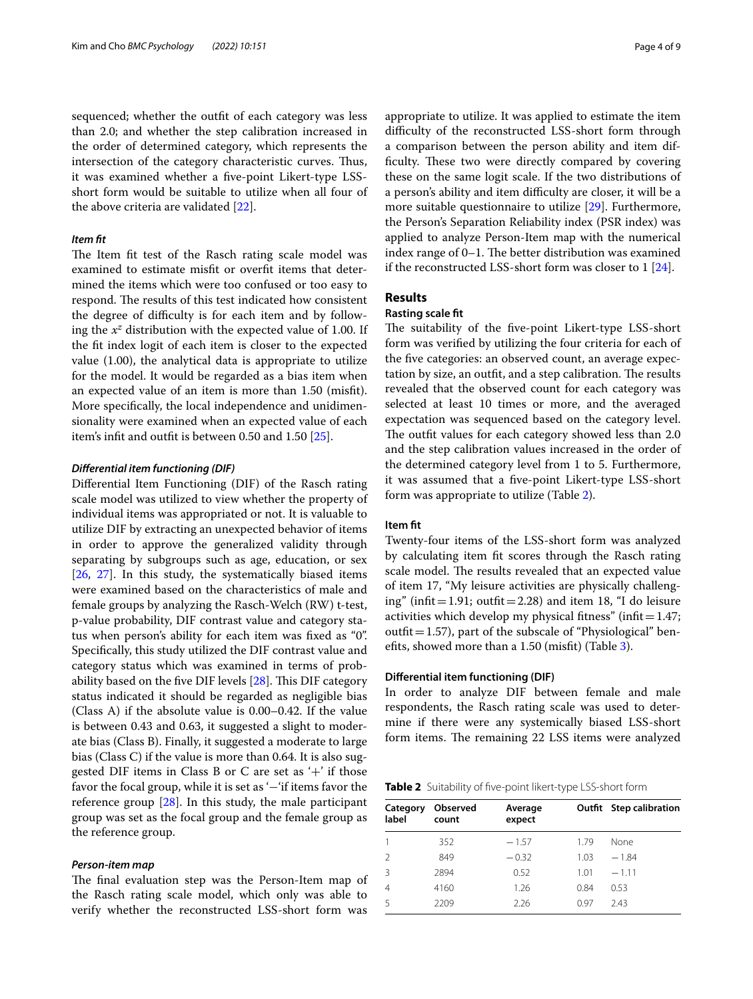sequenced; whether the outft of each category was less than 2.0; and whether the step calibration increased in the order of determined category, which represents the intersection of the category characteristic curves. Thus, it was examined whether a fve-point Likert-type LSSshort form would be suitable to utilize when all four of the above criteria are validated [\[22](#page-8-7)].

## *Item ft*

The Item fit test of the Rasch rating scale model was examined to estimate misft or overft items that determined the items which were too confused or too easy to respond. The results of this test indicated how consistent the degree of difficulty is for each item and by following the  $x^z$  distribution with the expected value of 1.00. If the ft index logit of each item is closer to the expected value (1.00), the analytical data is appropriate to utilize for the model. It would be regarded as a bias item when an expected value of an item is more than 1.50 (misft). More specifcally, the local independence and unidimensionality were examined when an expected value of each item's inft and outft is between 0.50 and 1.50 [\[25](#page-8-10)].

#### *Diferential item functioning (DIF)*

Diferential Item Functioning (DIF) of the Rasch rating scale model was utilized to view whether the property of individual items was appropriated or not. It is valuable to utilize DIF by extracting an unexpected behavior of items in order to approve the generalized validity through separating by subgroups such as age, education, or sex [[26,](#page-8-11) [27](#page-8-12)]. In this study, the systematically biased items were examined based on the characteristics of male and female groups by analyzing the Rasch-Welch (RW) t-test, p-value probability, DIF contrast value and category status when person's ability for each item was fxed as "0". Specifcally, this study utilized the DIF contrast value and category status which was examined in terms of probability based on the five DIF levels  $[28]$  $[28]$ . This DIF category status indicated it should be regarded as negligible bias (Class A) if the absolute value is 0.00–0.42. If the value is between 0.43 and 0.63, it suggested a slight to moderate bias (Class B). Finally, it suggested a moderate to large bias (Class C) if the value is more than 0.64. It is also suggested DIF items in Class B or C are set as  $+$ ' if those favor the focal group, while it is set as '−'if items favor the reference group [[28\]](#page-8-13). In this study, the male participant group was set as the focal group and the female group as the reference group.

#### *Person‑item map*

The final evaluation step was the Person-Item map of the Rasch rating scale model, which only was able to verify whether the reconstructed LSS-short form was appropriate to utilize. It was applied to estimate the item difficulty of the reconstructed LSS-short form through a comparison between the person ability and item difficulty. These two were directly compared by covering these on the same logit scale. If the two distributions of a person's ability and item difficulty are closer, it will be a more suitable questionnaire to utilize [[29](#page-8-14)]. Furthermore, the Person's Separation Reliability index (PSR index) was applied to analyze Person-Item map with the numerical index range of  $0-1$ . The better distribution was examined if the reconstructed LSS-short form was closer to 1 [\[24](#page-8-9)].

## **Results**

## **Rasting scale ft**

The suitability of the five-point Likert-type LSS-short form was verifed by utilizing the four criteria for each of the fve categories: an observed count, an average expectation by size, an outfit, and a step calibration. The results revealed that the observed count for each category was selected at least 10 times or more, and the averaged expectation was sequenced based on the category level. The outfit values for each category showed less than 2.0 and the step calibration values increased in the order of the determined category level from 1 to 5. Furthermore, it was assumed that a fve-point Likert-type LSS-short form was appropriate to utilize (Table [2\)](#page-3-0).

#### **Item ft**

Twenty-four items of the LSS-short form was analyzed by calculating item ft scores through the Rasch rating scale model. The results revealed that an expected value of item 17, "My leisure activities are physically challenging" (infit = 1.91; outfit = 2.28) and item 18, "I do leisure activities which develop my physical fitness" (infit= $1.47$ ; outfit =  $1.57$ ), part of the subscale of "Physiological" benefts, showed more than a 1.50 (misft) (Table [3](#page-4-0)).

#### **Diferential item functioning (DIF)**

In order to analyze DIF between female and male respondents, the Rasch rating scale was used to determine if there were any systemically biased LSS-short form items. The remaining 22 LSS items were analyzed

<span id="page-3-0"></span>

| Table 2 Suitability of five-point likert-type LSS-short form |  |
|--------------------------------------------------------------|--|
|--------------------------------------------------------------|--|

| Category<br>label | Observed<br>count | Average<br>expect |      | Outfit Step calibration |  |  |
|-------------------|-------------------|-------------------|------|-------------------------|--|--|
|                   | 352               | $-1.57$           | 1.79 | None                    |  |  |
| $\mathcal{L}$     | 849               | $-0.32$           | 1.03 | $-184$                  |  |  |
| 3                 | 2894              | 0.52              | 1.01 | $-1.11$                 |  |  |
| 4                 | 4160              | 1.26              | 0.84 | 0.53                    |  |  |
| 5                 | 2209              | 2.26              | 0.97 | 243                     |  |  |
|                   |                   |                   |      |                         |  |  |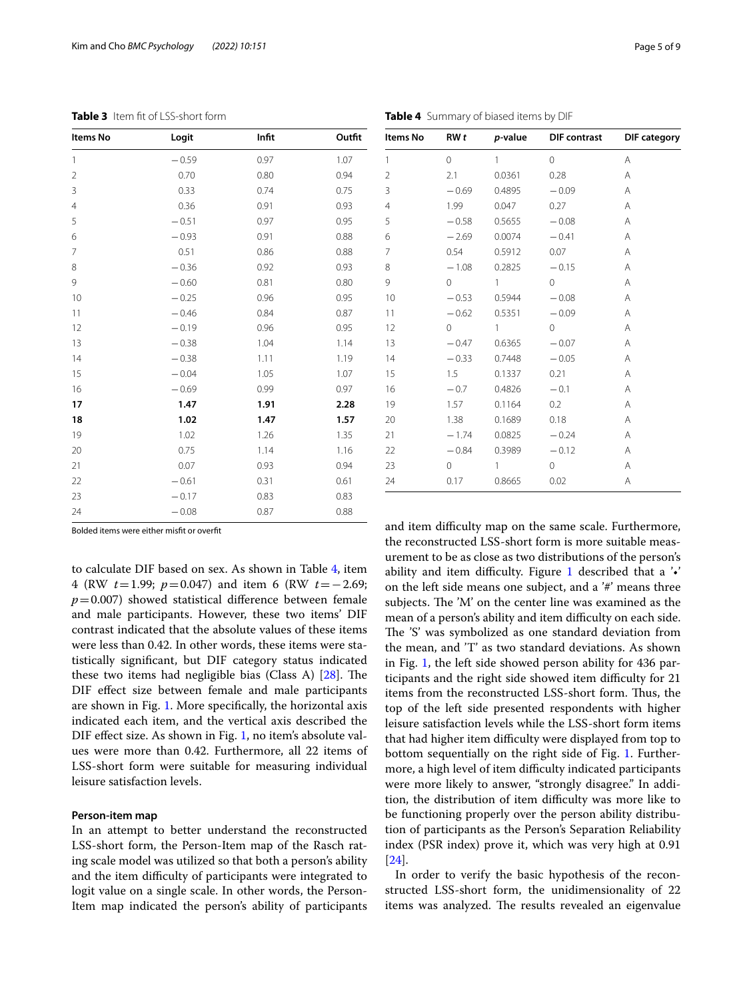| <b>TUDIED</b> INCITED OF ESS SHOTLIGHT! |         |       | <b>TUDIC +</b> Durinium y Or Diabed recins by Dir |                |                     |              |                     |                     |
|-----------------------------------------|---------|-------|---------------------------------------------------|----------------|---------------------|--------------|---------------------|---------------------|
| Items No                                | Logit   | Infit | Outfit                                            | Items No       | RWt                 | p-value      | <b>DIF</b> contrast | <b>DIF</b> category |
| $\overline{1}$                          | $-0.59$ | 0.97  | 1.07                                              | $\mathbf{1}$   | $\mathsf{O}\xspace$ | $\mathbf{1}$ | $\overline{0}$      | Α                   |
| $\overline{2}$                          | 0.70    | 0.80  | 0.94                                              | $\overline{2}$ | 2.1                 | 0.0361       | 0.28                | Α                   |
| 3                                       | 0.33    | 0.74  | 0.75                                              | 3              | $-0.69$             | 0.4895       | $-0.09$             | Α                   |
| $\overline{4}$                          | 0.36    | 0.91  | 0.93                                              | $\overline{4}$ | 1.99                | 0.047        | 0.27                | A                   |
| 5                                       | $-0.51$ | 0.97  | 0.95                                              | 5              | $-0.58$             | 0.5655       | $-0.08$             | Α                   |
| 6                                       | $-0.93$ | 0.91  | 0.88                                              | 6              | $-2.69$             | 0.0074       | $-0.41$             | Α                   |
| $\overline{7}$                          | 0.51    | 0.86  | 0.88                                              | 7              | 0.54                | 0.5912       | 0.07                | Α                   |
| 8                                       | $-0.36$ | 0.92  | 0.93                                              | 8              | $-1.08$             | 0.2825       | $-0.15$             | Α                   |
| 9                                       | $-0.60$ | 0.81  | 0.80                                              | 9              | 0                   | $\mathbf{1}$ | $\circ$             | Α                   |
| 10                                      | $-0.25$ | 0.96  | 0.95                                              | 10             | $-0.53$             | 0.5944       | $-0.08$             | Α                   |
| 11                                      | $-0.46$ | 0.84  | 0.87                                              | 11             | $-0.62$             | 0.5351       | $-0.09$             | Α                   |
| 12                                      | $-0.19$ | 0.96  | 0.95                                              | 12             | $\circ$             | 1            | $\overline{0}$      | Α                   |
| 13                                      | $-0.38$ | 1.04  | 1.14                                              | 13             | $-0.47$             | 0.6365       | $-0.07$             | Α                   |
| 14                                      | $-0.38$ | 1.11  | 1.19                                              | 14             | $-0.33$             | 0.7448       | $-0.05$             | Α                   |
| 15                                      | $-0.04$ | 1.05  | 1.07                                              | 15             | 1.5                 | 0.1337       | 0.21                | Α                   |
| 16                                      | $-0.69$ | 0.99  | 0.97                                              | 16             | $-0.7$              | 0.4826       | $-0.1$              | Α                   |
| 17                                      | 1.47    | 1.91  | 2.28                                              | 19             | 1.57                | 0.1164       | 0.2                 | Α                   |
| 18                                      | 1.02    | 1.47  | 1.57                                              | 20             | 1.38                | 0.1689       | 0.18                | Α                   |
| 19                                      | 1.02    | 1.26  | 1.35                                              | 21             | $-1.74$             | 0.0825       | $-0.24$             | Α                   |
| 20                                      | 0.75    | 1.14  | 1.16                                              | 22             | $-0.84$             | 0.3989       | $-0.12$             | Α                   |
| 21                                      | 0.07    | 0.93  | 0.94                                              | 23             | 0                   |              | $\circ$             | Α                   |
| 22                                      | $-0.61$ | 0.31  | 0.61                                              | 24             | 0.17                | 0.8665       | 0.02                | Α                   |
| 23                                      | $-0.17$ | 0.83  | 0.83                                              |                |                     |              |                     |                     |
|                                         |         |       |                                                   |                |                     |              |                     |                     |

<span id="page-4-1"></span>**Table 4** Summary of biased items by DIF

<span id="page-4-0"></span>**Table 3** Item ft of LSS-short form

Bolded items were either misft or overft

to calculate DIF based on sex. As shown in Table [4](#page-4-1), item 4 (RW *t*=1.99; *p*=0.047) and item 6 (RW *t*=−2.69;  $p=0.007$ ) showed statistical difference between female and male participants. However, these two items' DIF contrast indicated that the absolute values of these items were less than 0.42. In other words, these items were statistically signifcant, but DIF category status indicated these two items had negligible bias (Class A)  $[28]$ . The DIF efect size between female and male participants are shown in Fig. [1.](#page-5-0) More specifcally, the horizontal axis indicated each item, and the vertical axis described the DIF effect size. As shown in Fig. [1](#page-5-0), no item's absolute values were more than 0.42. Furthermore, all 22 items of LSS-short form were suitable for measuring individual leisure satisfaction levels.

24 − 0.08 0.87 0.88

#### **Person‑item map**

In an attempt to better understand the reconstructed LSS-short form, the Person-Item map of the Rasch rating scale model was utilized so that both a person's ability and the item difficulty of participants were integrated to logit value on a single scale. In other words, the Person-Item map indicated the person's ability of participants and item difficulty map on the same scale. Furthermore, the reconstructed LSS-short form is more suitable measurement to be as close as two distributions of the person's ability and item difficulty. Figure [1](#page-5-0) described that a  $\cdot\cdot\cdot$ on the left side means one subject, and a '#' means three subjects. The 'M' on the center line was examined as the mean of a person's ability and item difficulty on each side. The 'S' was symbolized as one standard deviation from the mean, and 'T' as two standard deviations. As shown in Fig. [1,](#page-5-0) the left side showed person ability for 436 participants and the right side showed item difficulty for 21 items from the reconstructed LSS-short form. Thus, the top of the left side presented respondents with higher leisure satisfaction levels while the LSS-short form items that had higher item difficulty were displayed from top to bottom sequentially on the right side of Fig. [1.](#page-5-0) Furthermore, a high level of item difficulty indicated participants were more likely to answer, "strongly disagree." In addition, the distribution of item difficulty was more like to be functioning properly over the person ability distribution of participants as the Person's Separation Reliability index (PSR index) prove it, which was very high at 0.91 [[24\]](#page-8-9).

In order to verify the basic hypothesis of the reconstructed LSS-short form, the unidimensionality of 22 items was analyzed. The results revealed an eigenvalue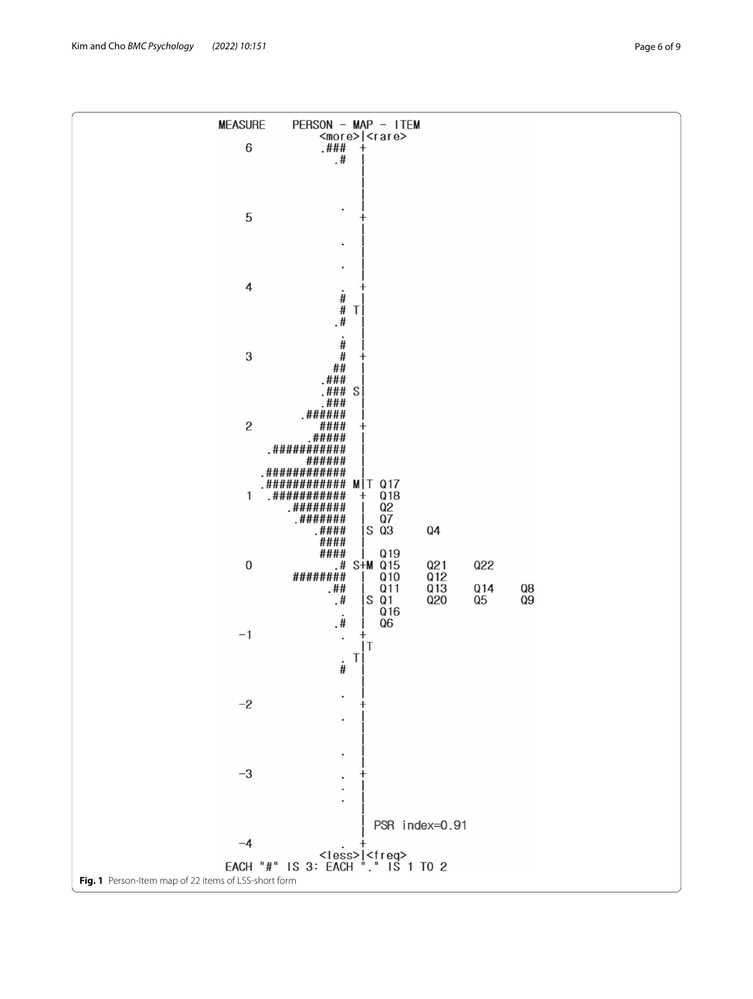<span id="page-5-0"></span>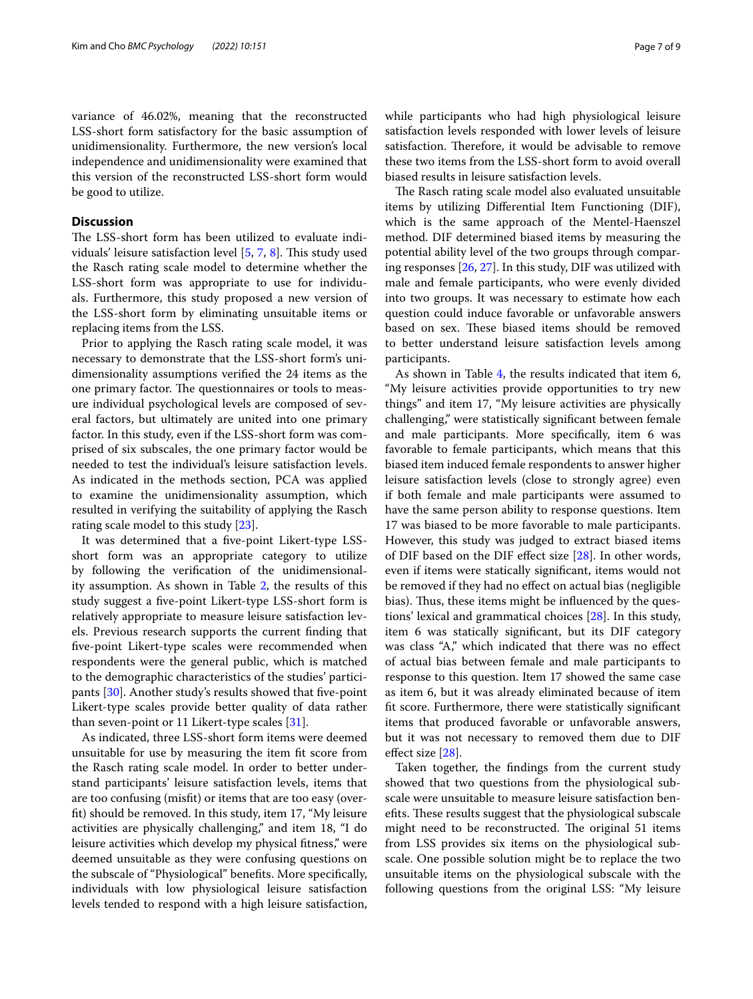variance of 46.02%, meaning that the reconstructed LSS-short form satisfactory for the basic assumption of unidimensionality. Furthermore, the new version's local independence and unidimensionality were examined that this version of the reconstructed LSS-short form would be good to utilize.

## **Discussion**

The LSS-short form has been utilized to evaluate individuals' leisure satisfaction level  $[5, 7, 8]$  $[5, 7, 8]$  $[5, 7, 8]$  $[5, 7, 8]$  $[5, 7, 8]$  $[5, 7, 8]$  $[5, 7, 8]$ . This study used the Rasch rating scale model to determine whether the LSS-short form was appropriate to use for individuals. Furthermore, this study proposed a new version of the LSS-short form by eliminating unsuitable items or replacing items from the LSS.

Prior to applying the Rasch rating scale model, it was necessary to demonstrate that the LSS-short form's unidimensionality assumptions verifed the 24 items as the one primary factor. The questionnaires or tools to measure individual psychological levels are composed of several factors, but ultimately are united into one primary factor. In this study, even if the LSS-short form was comprised of six subscales, the one primary factor would be needed to test the individual's leisure satisfaction levels. As indicated in the methods section, PCA was applied to examine the unidimensionality assumption, which resulted in verifying the suitability of applying the Rasch rating scale model to this study [[23\]](#page-8-8).

It was determined that a fve-point Likert-type LSSshort form was an appropriate category to utilize by following the verifcation of the unidimensionality assumption. As shown in Table [2,](#page-3-0) the results of this study suggest a fve-point Likert-type LSS-short form is relatively appropriate to measure leisure satisfaction levels. Previous research supports the current fnding that fve-point Likert-type scales were recommended when respondents were the general public, which is matched to the demographic characteristics of the studies' participants [[30](#page-8-15)]. Another study's results showed that fve-point Likert-type scales provide better quality of data rather than seven-point or 11 Likert-type scales [\[31\]](#page-8-16).

As indicated, three LSS-short form items were deemed unsuitable for use by measuring the item ft score from the Rasch rating scale model. In order to better understand participants' leisure satisfaction levels, items that are too confusing (misft) or items that are too easy (overft) should be removed. In this study, item 17, "My leisure activities are physically challenging," and item 18, "I do leisure activities which develop my physical ftness," were deemed unsuitable as they were confusing questions on the subscale of "Physiological" benefts. More specifcally, individuals with low physiological leisure satisfaction levels tended to respond with a high leisure satisfaction, while participants who had high physiological leisure satisfaction levels responded with lower levels of leisure satisfaction. Therefore, it would be advisable to remove these two items from the LSS-short form to avoid overall biased results in leisure satisfaction levels.

The Rasch rating scale model also evaluated unsuitable items by utilizing Diferential Item Functioning (DIF), which is the same approach of the Mentel-Haenszel method. DIF determined biased items by measuring the potential ability level of the two groups through comparing responses [\[26](#page-8-11), [27\]](#page-8-12). In this study, DIF was utilized with male and female participants, who were evenly divided into two groups. It was necessary to estimate how each question could induce favorable or unfavorable answers based on sex. These biased items should be removed to better understand leisure satisfaction levels among participants.

As shown in Table [4,](#page-4-1) the results indicated that item 6, "My leisure activities provide opportunities to try new things" and item 17, "My leisure activities are physically challenging," were statistically signifcant between female and male participants. More specifcally, item 6 was favorable to female participants, which means that this biased item induced female respondents to answer higher leisure satisfaction levels (close to strongly agree) even if both female and male participants were assumed to have the same person ability to response questions. Item 17 was biased to be more favorable to male participants. However, this study was judged to extract biased items of DIF based on the DIF efect size [\[28](#page-8-13)]. In other words, even if items were statically signifcant, items would not be removed if they had no efect on actual bias (negligible bias). Thus, these items might be influenced by the questions' lexical and grammatical choices [\[28\]](#page-8-13). In this study, item 6 was statically signifcant, but its DIF category was class "A," which indicated that there was no efect of actual bias between female and male participants to response to this question. Item 17 showed the same case as item 6, but it was already eliminated because of item ft score. Furthermore, there were statistically signifcant items that produced favorable or unfavorable answers, but it was not necessary to removed them due to DIF efect size [\[28](#page-8-13)].

Taken together, the fndings from the current study showed that two questions from the physiological subscale were unsuitable to measure leisure satisfaction benefits. These results suggest that the physiological subscale might need to be reconstructed. The original 51 items from LSS provides six items on the physiological subscale. One possible solution might be to replace the two unsuitable items on the physiological subscale with the following questions from the original LSS: "My leisure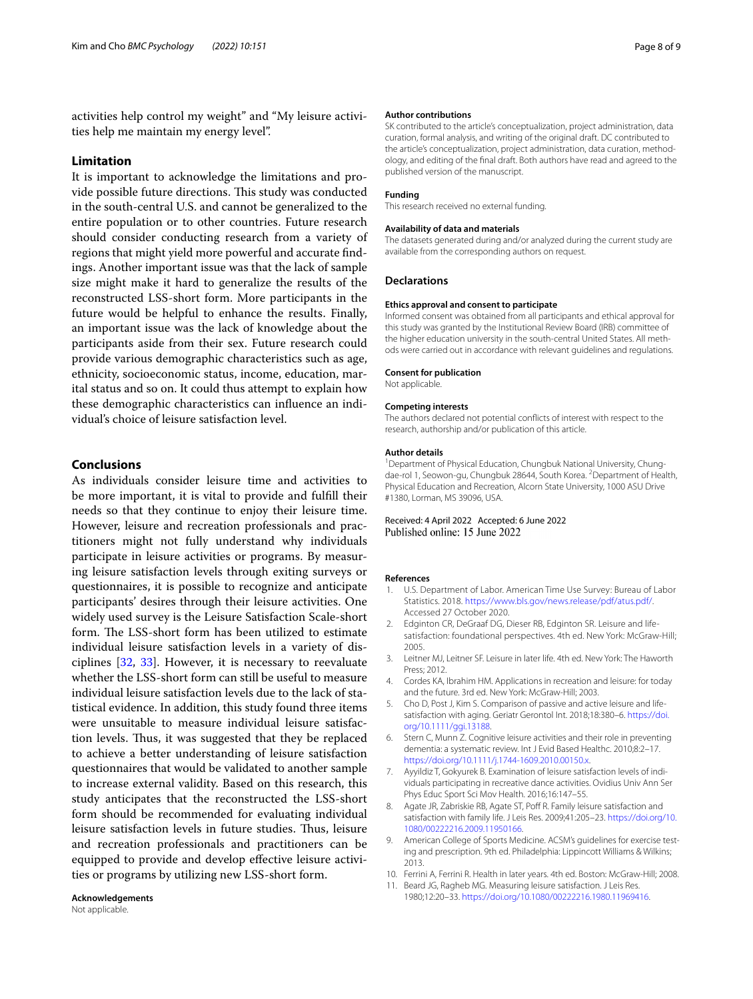activities help control my weight" and "My leisure activities help me maintain my energy level".

#### **Limitation**

It is important to acknowledge the limitations and provide possible future directions. This study was conducted in the south-central U.S. and cannot be generalized to the entire population or to other countries. Future research should consider conducting research from a variety of regions that might yield more powerful and accurate fndings. Another important issue was that the lack of sample size might make it hard to generalize the results of the reconstructed LSS-short form. More participants in the future would be helpful to enhance the results. Finally, an important issue was the lack of knowledge about the participants aside from their sex. Future research could provide various demographic characteristics such as age, ethnicity, socioeconomic status, income, education, marital status and so on. It could thus attempt to explain how these demographic characteristics can infuence an individual's choice of leisure satisfaction level.

## **Conclusions**

As individuals consider leisure time and activities to be more important, it is vital to provide and fulfll their needs so that they continue to enjoy their leisure time. However, leisure and recreation professionals and practitioners might not fully understand why individuals participate in leisure activities or programs. By measuring leisure satisfaction levels through exiting surveys or questionnaires, it is possible to recognize and anticipate participants' desires through their leisure activities. One widely used survey is the Leisure Satisfaction Scale-short form. The LSS-short form has been utilized to estimate individual leisure satisfaction levels in a variety of disciplines [\[32,](#page-8-17) [33\]](#page-8-18). However, it is necessary to reevaluate whether the LSS-short form can still be useful to measure individual leisure satisfaction levels due to the lack of statistical evidence. In addition, this study found three items were unsuitable to measure individual leisure satisfaction levels. Thus, it was suggested that they be replaced to achieve a better understanding of leisure satisfaction questionnaires that would be validated to another sample to increase external validity. Based on this research, this study anticipates that the reconstructed the LSS-short form should be recommended for evaluating individual leisure satisfaction levels in future studies. Thus, leisure and recreation professionals and practitioners can be equipped to provide and develop efective leisure activities or programs by utilizing new LSS-short form.

**Acknowledgements**

#### **Author contributions**

SK contributed to the article's conceptualization, project administration, data curation, formal analysis, and writing of the original draft. DC contributed to the article's conceptualization, project administration, data curation, methodology, and editing of the fnal draft. Both authors have read and agreed to the published version of the manuscript.

#### **Funding**

This research received no external funding.

#### **Availability of data and materials**

The datasets generated during and/or analyzed during the current study are available from the corresponding authors on request.

#### **Declarations**

#### **Ethics approval and consent to participate**

Informed consent was obtained from all participants and ethical approval for this study was granted by the Institutional Review Board (IRB) committee of the higher education university in the south-central United States. All methods were carried out in accordance with relevant guidelines and regulations.

#### **Consent for publication**

Not applicable.

#### **Competing interests**

The authors declared not potential conficts of interest with respect to the research, authorship and/or publication of this article.

#### **Author details**

<sup>1</sup> Department of Physical Education, Chungbuk National University, Chungdae-rol 1, Seowon-gu, Chungbuk 28644, South Korea. <sup>2</sup> Department of Health, Physical Education and Recreation, Alcorn State University, 1000 ASU Drive #1380, Lorman, MS 39096, USA.

#### Received: 4 April 2022 Accepted: 6 June 2022 Published online: 15 June 2022

#### **References**

- <span id="page-7-0"></span>1. U.S. Department of Labor. American Time Use Survey: Bureau of Labor Statistics. 2018. <https://www.bls.gov/news.release/pdf/atus.pdf/>. Accessed 27 October 2020.
- <span id="page-7-1"></span>2. Edginton CR, DeGraaf DG, Dieser RB, Edginton SR. Leisure and lifesatisfaction: foundational perspectives. 4th ed. New York: McGraw-Hill; 2005.
- <span id="page-7-2"></span>3. Leitner MJ, Leitner SF. Leisure in later life. 4th ed. New York: The Haworth Press; 2012.
- <span id="page-7-3"></span>4. Cordes KA, Ibrahim HM. Applications in recreation and leisure: for today and the future. 3rd ed. New York: McGraw-Hill; 2003.
- <span id="page-7-4"></span>5. Cho D, Post J, Kim S. Comparison of passive and active leisure and lifesatisfaction with aging. Geriatr Gerontol Int. 2018;18:380–6. [https://doi.](https://doi.org/10.1111/ggi.13188) [org/10.1111/ggi.13188.](https://doi.org/10.1111/ggi.13188)
- <span id="page-7-5"></span>6. Stern C, Munn Z. Cognitive leisure activities and their role in preventing dementia: a systematic review. Int J Evid Based Healthc. 2010;8:2–17. [https://doi.org/10.1111/j.1744-1609.2010.00150.x.](https://doi.org/10.1111/j.1744-1609.2010.00150.x)
- <span id="page-7-6"></span>7. Ayyildiz T, Gokyurek B. Examination of leisure satisfaction levels of individuals participating in recreative dance activities. Ovidius Univ Ann Ser Phys Educ Sport Sci Mov Health. 2016;16:147–55.
- <span id="page-7-7"></span>8. Agate JR, Zabriskie RB, Agate ST, Poff R. Family leisure satisfaction and satisfaction with family life. J Leis Res. 2009;41:205–23. [https://doi.org/10.](https://doi.org/10.1080/00222216.2009.11950166) [1080/00222216.2009.11950166.](https://doi.org/10.1080/00222216.2009.11950166)
- <span id="page-7-8"></span>9. American College of Sports Medicine. ACSM's guidelines for exercise testing and prescription. 9th ed. Philadelphia: Lippincott Williams & Wilkins; 2013.
- <span id="page-7-9"></span>10. Ferrini A, Ferrini R. Health in later years. 4th ed. Boston: McGraw-Hill; 2008.
- <span id="page-7-10"></span>11. Beard JG, Ragheb MG. Measuring leisure satisfaction. J Leis Res. 1980;12:20–33. <https://doi.org/10.1080/00222216.1980.11969416>.

Not applicable.